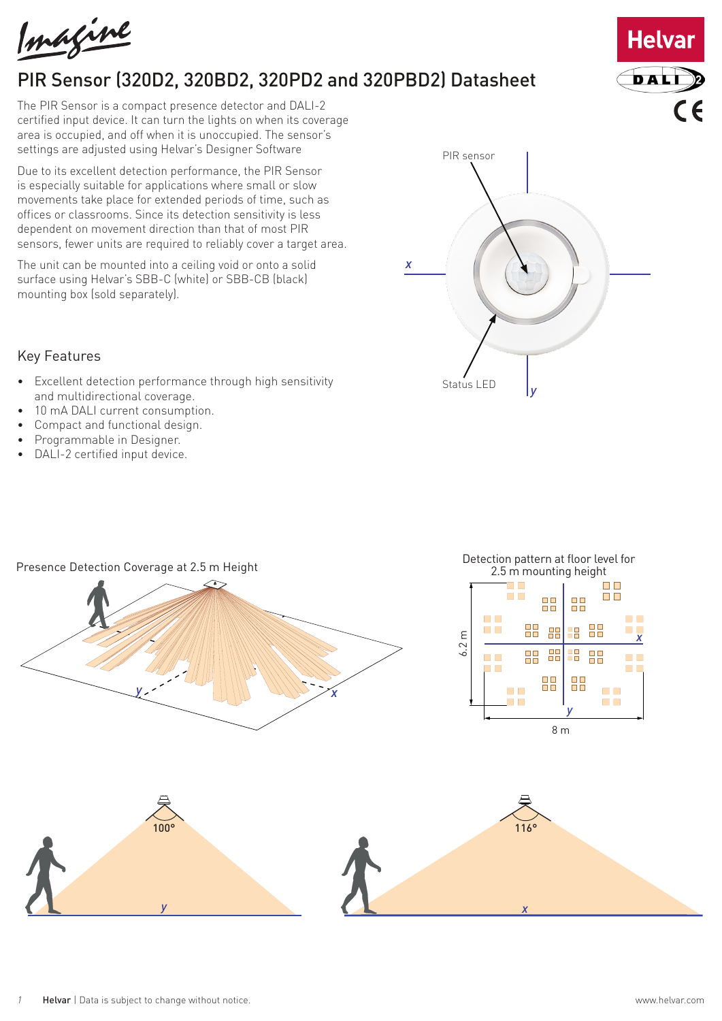Imagine

# PIR Sensor (320D2, 320BD2, 320PD2 and 320PBD2) Datasheet

The PIR Sensor is a compact presence detector and DALI-2 certified input device. It can turn the lights on when its coverage area is occupied, and off when it is unoccupied. The sensor's settings are adjusted using Helvar's Designer Software

Due to its excellent detection performance, the PIR Sensor is especially suitable for applications where small or slow movements take place for extended periods of time, such as offices or classrooms. Since its detection sensitivity is less dependent on movement direction than that of most PIR sensors, fewer units are required to reliably cover a target area.

The unit can be mounted into a ceiling void or onto a solid surface using Helvar's SBB-C (white) or SBB-CB (black) mounting box (sold separately).



- Excellent detection performance through high sensitivity and multidirectional coverage.
- 10 mA DALI current consumption.
- Compact and functional design.
- Programmable in Designer.
- DALI-2 certified input device.